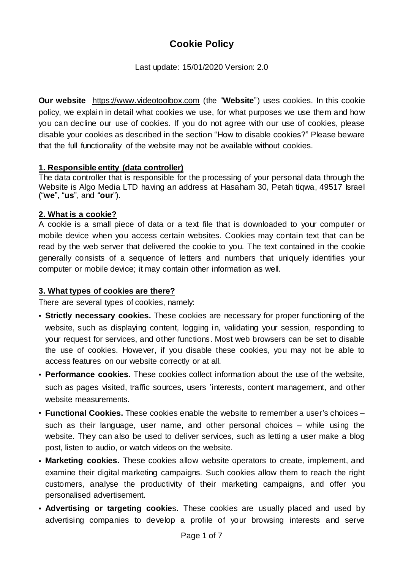# **Cookie Policy**

Last update: 15/01/2020 Version: 2.0

**Our website** [https://www.videotoolbox.com](https://www.videotoolbox.com/) (the "**Website**") uses cookies. In this cookie policy, we explain in detail what cookies we use, for what purposes we use them and how you can decline our use of cookies. If you do not agree with our use of cookies, please disable your cookies as described in the section "How to disable cookies?" Please beware that the full functionality of the website may not be available without cookies.

#### **1. Responsible entity (data controller)**

The data controller that is responsible for the processing of your personal data through the Website is Algo Media LTD having an address at Hasaham 30, Petah tiqwa, 49517 Israel ("**we**", "**us**", and "**our**").

#### **2. What is a cookie?**

A cookie is a small piece of data or a text file that is downloaded to your computer or mobile device when you access certain websites. Cookies may contain text that can be read by the web server that delivered the cookie to you. The text contained in the cookie generally consists of a sequence of letters and numbers that uniquely identifies your computer or mobile device; it may contain other information as well.

#### **3. What types of cookies are there?**

There are several types of cookies, namely:

- **Strictly necessary cookies.** These cookies are necessary for proper functioning of the website, such as displaying content, logging in, validating your session, responding to your request for services, and other functions. Most web browsers can be set to disable the use of cookies. However, if you disable these cookies, you may not be able to access features on our website correctly or at all.
- **Performance cookies.** These cookies collect information about the use of the website, such as pages visited, traffic sources, users 'interests, content management, and other website measurements.
- **Functional Cookies.** These cookies enable the website to remember a user's choices such as their language, user name, and other personal choices – while using the website. They can also be used to deliver services, such as letting a user make a blog post, listen to audio, or watch videos on the website.
- **Marketing cookies.** These cookies allow website operators to create, implement, and examine their digital marketing campaigns. Such cookies allow them to reach the right customers, analyse the productivity of their marketing campaigns, and offer you personalised advertisement.
- **Advertising or targeting cookie**s. These cookies are usually placed and used by advertising companies to develop a profile of your browsing interests and serve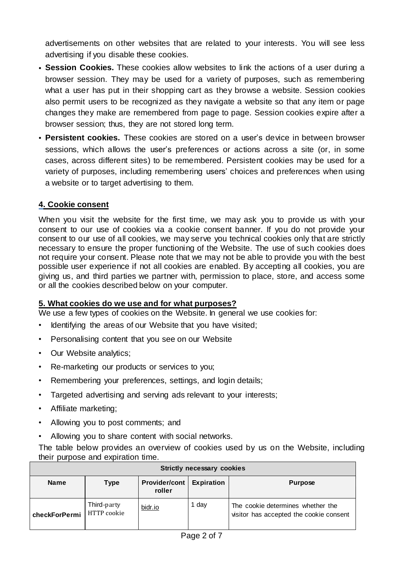advertisements on other websites that are related to your interests. You will see less advertising if you disable these cookies.

- **Session Cookies.** These cookies allow websites to link the actions of a user during a browser session. They may be used for a variety of purposes, such as remembering what a user has put in their shopping cart as they browse a website. Session cookies also permit users to be recognized as they navigate a website so that any item or page changes they make are remembered from page to page. Session cookies expire after a browser session; thus, they are not stored long term.
- **Persistent cookies.** These cookies are stored on a user's device in between browser sessions, which allows the user's preferences or actions across a site (or, in some cases, across different sites) to be remembered. Persistent cookies may be used for a variety of purposes, including remembering users' choices and preferences when using a website or to target advertising to them.

#### **4. Cookie consent**

When you visit the website for the first time, we may ask you to provide us with your consent to our use of cookies via a cookie consent banner. If you do not provide your consent to our use of all cookies, we may serve you technical cookies only that are strictly necessary to ensure the proper functioning of the Website. The use of such cookies does not require your consent. Please note that we may not be able to provide you with the best possible user experience if not all cookies are enabled. By accepting all cookies, you are giving us, and third parties we partner with, permission to place, store, and access some or all the cookies described below on your computer.

#### **5. What cookies do we use and for what purposes?**

We use a few types of cookies on the Website. In general we use cookies for:

- Identifying the areas of our Website that you have visited;
- Personalising content that you see on our Website
- Our Website analytics;
- Re-marketing our products or services to you;
- Remembering your preferences, settings, and login details;
- Targeted advertising and serving ads relevant to your interests;
- Affiliate marketing;
- Allowing you to post comments; and
- Allowing you to share content with social networks.

The table below provides an overview of cookies used by us on the Website, including their purpose and expiration time.

| <b>Strictly necessary cookies</b> |                            |                         |                   |                                                                              |  |  |  |
|-----------------------------------|----------------------------|-------------------------|-------------------|------------------------------------------------------------------------------|--|--|--|
| <b>Name</b>                       | <b>Type</b>                | Provider/cont<br>roller | <b>Expiration</b> | <b>Purpose</b>                                                               |  |  |  |
| checkForPermi                     | Third-party<br>HTTP cookie | bidr.io                 | 1 day             | The cookie determines whether the<br>visitor has accepted the cookie consent |  |  |  |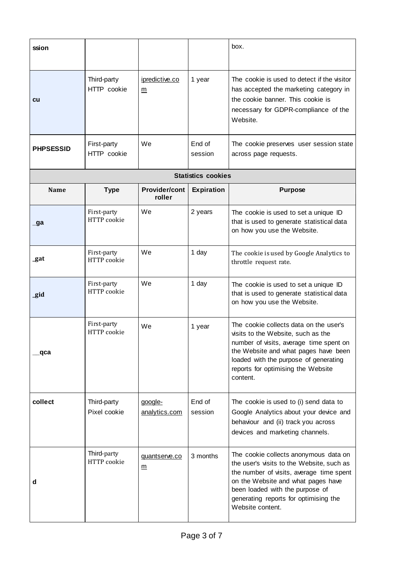| ssion            |                             |                                  |                           | box.                                                                                                                                                                                                                                                                 |
|------------------|-----------------------------|----------------------------------|---------------------------|----------------------------------------------------------------------------------------------------------------------------------------------------------------------------------------------------------------------------------------------------------------------|
| cu               | Third-party<br>HTTP cookie  | ipredictive.co<br>m              | 1 year                    | The cookie is used to detect if the visitor<br>has accepted the marketing category in<br>the cookie banner. This cookie is<br>necessary for GDPR-compliance of the<br>Website.                                                                                       |
| <b>PHPSESSID</b> | First-party<br>HTTP cookie  | We                               | End of<br>session         | The cookie preserves user session state<br>across page requests.                                                                                                                                                                                                     |
|                  |                             |                                  | <b>Statistics cookies</b> |                                                                                                                                                                                                                                                                      |
| Name             | <b>Type</b>                 | <b>Provider/cont</b><br>roller   | <b>Expiration</b>         | <b>Purpose</b>                                                                                                                                                                                                                                                       |
| _ga              | First-party<br>HTTP cookie  | We                               | 2 years                   | The cookie is used to set a unique ID<br>that is used to generate statistical data<br>on how you use the Website.                                                                                                                                                    |
| _gat             | First-party<br>HTTP cookie  | We                               | 1 day                     | The cookie is used by Google Analytics to<br>throttle request rate.                                                                                                                                                                                                  |
| _gid             | First-party<br>HTTP cookie  | We                               | 1 day                     | The cookie is used to set a unique ID<br>that is used to generate statistical data<br>on how you use the Website.                                                                                                                                                    |
| qca              | First-party<br>HTTP cookie  | We                               | 1 year                    | The cookie collects data on the user's<br>visits to the Website, such as the<br>number of visits, average time spent on<br>the Website and what pages have been<br>loaded with the purpose of generating<br>reports for optimising the Website<br>content.           |
| collect          | Third-party<br>Pixel cookie | google-<br>analytics.com         | End of<br>session         | The cookie is used to (i) send data to<br>Google Analytics about your device and<br>behaviour and (ii) track you across<br>devices and marketing channels.                                                                                                           |
| d                | Third-party<br>HTTP cookie  | quantserve.co<br>$\underline{m}$ | 3 months                  | The cookie collects anonymous data on<br>the user's visits to the Website, such as<br>the number of visits, average time spent<br>on the Website and what pages have<br>been loaded with the purpose of<br>generating reports for optimising the<br>Website content. |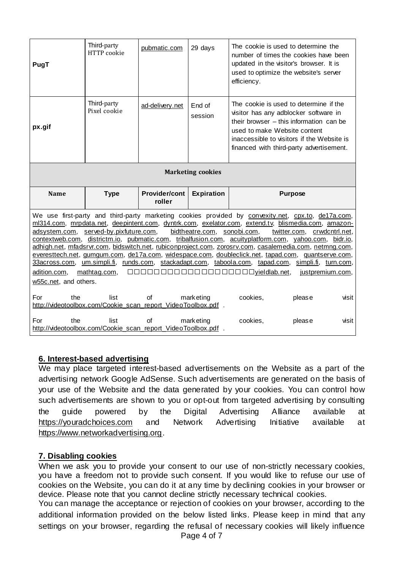| PugT                                  | Third-party<br>HTTP cookie                                           | pubmatic.com                   | 29 days                     | The cookie is used to determine the<br>number of times the cookies have been<br>updated in the visitor's browser. It is<br>used to optimize the website's server<br>efficiency.                                                                                                                                                                                                                                                                                                                                                                                                                                                                                                |                                                 |  |  |  |
|---------------------------------------|----------------------------------------------------------------------|--------------------------------|-----------------------------|--------------------------------------------------------------------------------------------------------------------------------------------------------------------------------------------------------------------------------------------------------------------------------------------------------------------------------------------------------------------------------------------------------------------------------------------------------------------------------------------------------------------------------------------------------------------------------------------------------------------------------------------------------------------------------|-------------------------------------------------|--|--|--|
| px.gif                                | Third-party<br>Pixel cookie                                          | ad-delivery.net                | End of<br>session           | The cookie is used to determine if the<br>visitor has any adblocker software in<br>their browser $-$ this information can be<br>used to make Website content<br>inaccessible to visitors if the Website is<br>financed with third-party advertisement.                                                                                                                                                                                                                                                                                                                                                                                                                         |                                                 |  |  |  |
| <b>Marketing cookies</b>              |                                                                      |                                |                             |                                                                                                                                                                                                                                                                                                                                                                                                                                                                                                                                                                                                                                                                                |                                                 |  |  |  |
|                                       |                                                                      |                                |                             |                                                                                                                                                                                                                                                                                                                                                                                                                                                                                                                                                                                                                                                                                |                                                 |  |  |  |
| Name                                  | <b>Type</b>                                                          | <b>Provider/cont</b><br>roller | <b>Expiration</b>           |                                                                                                                                                                                                                                                                                                                                                                                                                                                                                                                                                                                                                                                                                | <b>Purpose</b>                                  |  |  |  |
| adition.com,<br>w55c.net, and others. | adsystem.com, served-by.pixfuture.com,<br>mathtag.com,               |                                | bidtheatre.com, sonobi.com, | We use first-party and third-party marketing cookies provided by convexity.net, cpx.to, de17a.com,<br>ml314.com, mrpdata.net, deepintent.com, dyntrk.com, exelator.com, extend.tv, blismedia.com, amazon-<br>contextweb.com, districtm.io, pubmatic.com, tribalfusion.com, acuityplatform.com, yahoo.com, bidr.io,<br>adhigh.net, mfadsrvr.com, bidswitch.net, rubiconproject.com, zorosrv.com, casalemedia.com, netmng.com,<br>everesttech.net, gumgum.com, de17a.com, widespace.com, doubleclick.net, tapad.com, guantserve.com,<br>33across.com, um.simpli.fi, runds.com, stackadapt.com, taboola.com, tapad.com, simpli.fi, turn.com,<br>00000000000000000000yieldlab.net, | twitter.com, crwdcntrl.net,<br>justpremium.com, |  |  |  |
| For<br>the                            | list<br>http://videotoolbox.com/Cookie scan report VideoToolbox.pdf. | Ωf                             | mark eting                  | cookies,                                                                                                                                                                                                                                                                                                                                                                                                                                                                                                                                                                                                                                                                       | please<br>visit                                 |  |  |  |

#### **6. Interest-based advertising**

We may place targeted interest-based advertisements on the Website as a part of the advertising network Google AdSense. Such advertisements are generated on the basis of your use of the Website and the data generated by your cookies. You can control how such advertisements are shown to you or opt-out from targeted advertising by consulting the guide powered by the Digital Advertising Alliance available at [https://youradchoices.com](https://youradchoices.com/) and Network Advertising Initiative available at [https://www.networkadvertising.org.](https://www.networkadvertising.org/)

#### **7. Disabling cookies**

When we ask you to provide your consent to our use of non-strictly necessary cookies, you have a freedom not to provide such consent. If you would like to refuse our use of cookies on the Website, you can do it at any time by declining cookies in your browser or device. Please note that you cannot decline strictly necessary technical cookies.

You can manage the acceptance or rejection of cookies on your browser, according to the additional information provided on the below listed links. Please keep in mind that any settings on your browser, regarding the refusal of necessary cookies will likely influence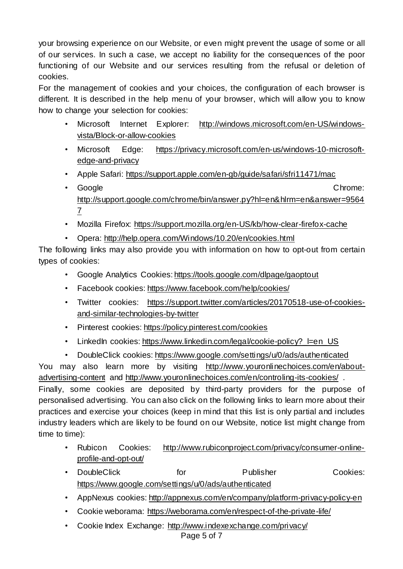your browsing experience on our Website, or even might prevent the usage of some or all of our services. In such a case, we accept no liability for the consequences of the poor functioning of our Website and our services resulting from the refusal or deletion of cookies.

For the management of cookies and your choices, the configuration of each browser is different. It is described in the help menu of your browser, which will allow you to know how to change your selection for cookies:

- Microsoft Internet Explorer: [http://windows.microsoft.com/en-US/windows](http://windows.microsoft.com/en-US/windows-vista/Block-or-allow-cookies)[vista/Block-or-allow-cookies](http://windows.microsoft.com/en-US/windows-vista/Block-or-allow-cookies)
- Microsoft Edge: [https://privacy.microsoft.com/en-us/windows-10-microsoft](https://privacy.microsoft.com/en-us/windows-10-microsoft-edge-and-privacy)[edge-and-privacy](https://privacy.microsoft.com/en-us/windows-10-microsoft-edge-and-privacy)
- Apple Safari: <https://support.apple.com/en-gb/guide/safari/sfri11471/mac>
- Google **Chrome:** Chrome: Chrome: Chrome: Chrome: Chrome: Chrome: Chrome: Chrome: Chrome: Chrome: Chrome: Chrome: Chrome: Chrome: Chrome: Chrome: Chrome: Chrome: Chrome: Chrome: Chrome: Chrome: Chrome: Chrome: Chrome: Chr [http://support.google.com/chrome/bin/answer.py?hl=en&hlrm=en&answer=9564](http://support.google.com/chrome/bin/answer.py?hl=en&hlrm=en&answer=95647) [7](http://support.google.com/chrome/bin/answer.py?hl=en&hlrm=en&answer=95647)
- Mozilla Firefox: <https://support.mozilla.org/en-US/kb/how-clear-firefox-cache>
- Opera: <http://help.opera.com/Windows/10.20/en/cookies.html>

The following links may also provide you with information on how to opt-out from certain types of cookies:

- Google Analytics Cookies: <https://tools.google.com/dlpage/gaoptout>
- Facebook cookies: <https://www.facebook.com/help/cookies/>
- Twitter cookies: [https://support.twitter.com/articles/20170518-use-of-cookies](https://support.twitter.com/articles/20170518-use-of-cookies-and-similar-technologies-by-twitter)[and-similar-technologies-by-twitter](https://support.twitter.com/articles/20170518-use-of-cookies-and-similar-technologies-by-twitter)
- Pinterest cookies: <https://policy.pinterest.com/cookies>
- LinkedIn cookies: [https://www.linkedin.com/legal/cookie-policy?\\_l=en\\_US](https://www.linkedin.com/legal/cookie-policy?_l=en_US)
- DoubleClick cookies: <https://www.google.com/settings/u/0/ads/authenticated>

You may also learn more by visiting [http://www.youronlinechoices.com/en/about](http://www.youronlinechoices.com/en/about-advertising-content)[advertising-content](http://www.youronlinechoices.com/en/about-advertising-content) and <http://www.youronlinechoices.com/en/controling-its-cookies/> . Finally, some cookies are deposited by third-party providers for the purpose of personalised advertising. You can also click on the following links to learn more about their practices and exercise your choices (keep in mind that this list is only partial and includes industry leaders which are likely to be found on our Website, notice list might change from time to time):

- Rubicon Cookies: [http://www.rubiconproject.com/privacy/consumer-online](http://www.rubiconproject.com/privacy/consumer-online-profile-and-opt-out/)[profile-and-opt-out/](http://www.rubiconproject.com/privacy/consumer-online-profile-and-opt-out/)
- DoubleClick for Publisher Cookies: <https://www.google.com/settings/u/0/ads/authenticated>
- AppNexus cookies: <http://appnexus.com/en/company/platform-privacy-policy-en>
- Cookie weborama: <https://weborama.com/en/respect-of-the-private-life/>
- Cookie Index Exchange: <http://www.indexexchange.com/privacy/>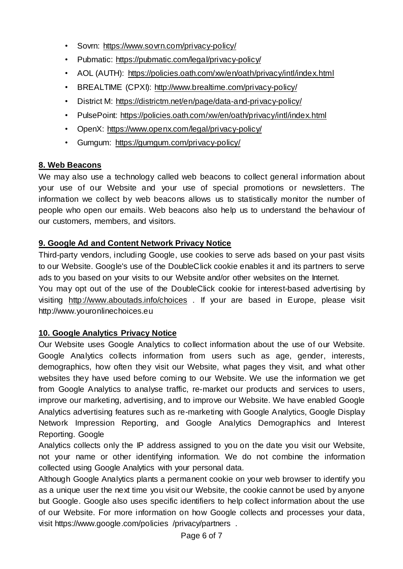- Sovrn: <https://www.sovrn.com/privacy-policy/>
- Pubmatic: <https://pubmatic.com/legal/privacy-policy/>
- AOL (AUTH): <https://policies.oath.com/xw/en/oath/privacy/intl/index.html>
- BREALTIME (CPXI): <http://www.brealtime.com/privacy-policy/>
- District M: <https://districtm.net/en/page/data-and-privacy-policy/>
- PulsePoint: <https://policies.oath.com/xw/en/oath/privacy/intl/index.html>
- OpenX: <https://www.openx.com/legal/privacy-policy/>
- Gumgum: <https://gumgum.com/privacy-policy/>

# **8. Web Beacons**

We may also use a technology called web beacons to collect general information about your use of our Website and your use of special promotions or newsletters. The information we collect by web beacons allows us to statistically monitor the number of people who open our emails. Web beacons also help us to understand the behaviour of our customers, members, and visitors.

# **9. Google Ad and Content Network Privacy Notice**

Third-party vendors, including Google, use cookies to serve ads based on your past visits to our Website. Google's use of the DoubleClick cookie enables it and its partners to serve ads to you based on your visits to our Website and/or other websites on the Internet.

You may opt out of the use of the DoubleClick cookie for interest-based advertising by visiting <http://www.aboutads.info/choices> . If your are based in Europe, please visit http://www.youronlinechoices.eu

# **10. Google Analytics Privacy Notice**

Our Website uses Google Analytics to collect information about the use of our Website. Google Analytics collects information from users such as age, gender, interests, demographics, how often they visit our Website, what pages they visit, and what other websites they have used before coming to our Website. We use the information we get from Google Analytics to analyse traffic, re-market our products and services to users, improve our marketing, advertising, and to improve our Website. We have enabled Google Analytics advertising features such as re-marketing with Google Analytics, Google Display Network Impression Reporting, and Google Analytics Demographics and Interest Reporting. Google

Analytics collects only the IP address assigned to you on the date you visit our Website, not your name or other identifying information. We do not combine the information collected using Google Analytics with your personal data.

Although Google Analytics plants a permanent cookie on your web browser to identify you as a unique user the next time you visit our Website, the cookie cannot be used by anyone but Google. Google also uses specific identifiers to help collect information about the use of our Website. For more information on how Google collects and processes your data, visit https://www.google.com/policies /privacy/partners .